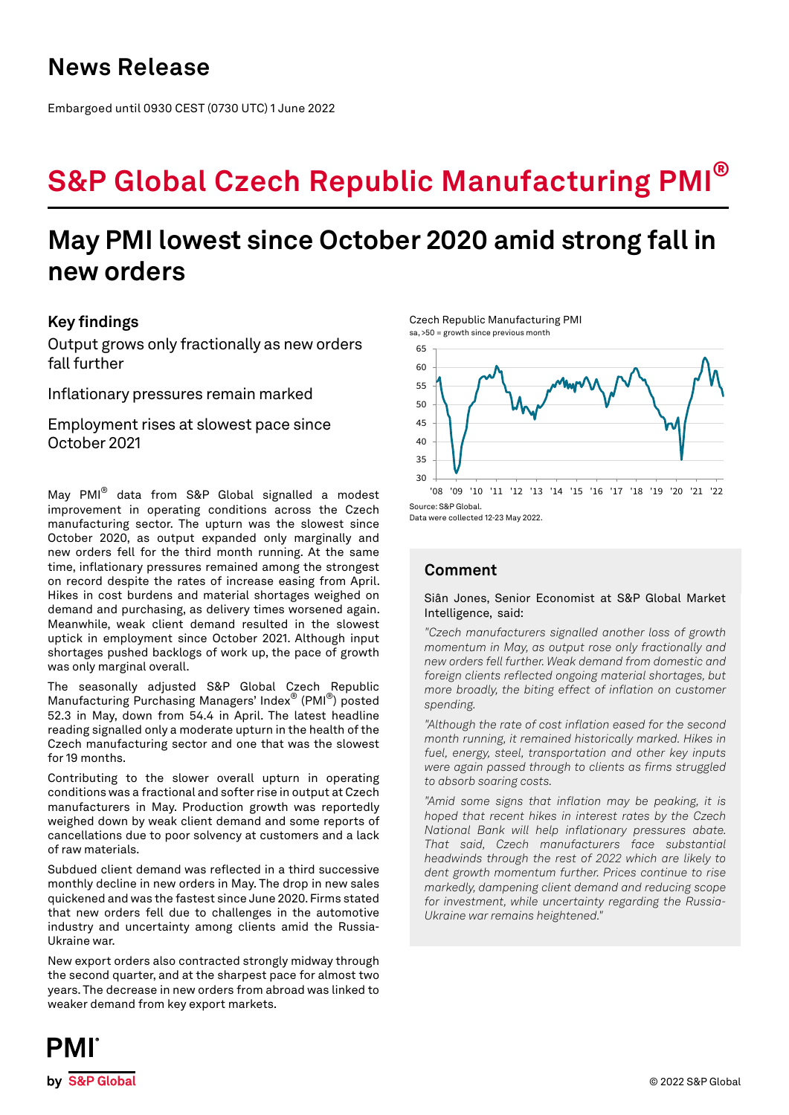# **S&P Global Czech Republic Manufacturing PMI®**

## **May PMI lowest since October 2020 amid strong fall in new orders**

## **Key findings**

Output grows only fractionally as new orders fall further

Inflationary pressures remain marked

Employment rises at slowest pace since October 2021

May PMI® data from S&P Global signalled a modest improvement in operating conditions across the Czech manufacturing sector. The upturn was the slowest since October 2020, as output expanded only marginally and new orders fell for the third month running. At the same time, inflationary pressures remained among the strongest on record despite the rates of increase easing from April. Hikes in cost burdens and material shortages weighed on demand and purchasing, as delivery times worsened again. Meanwhile, weak client demand resulted in the slowest uptick in employment since October 2021. Although input shortages pushed backlogs of work up, the pace of growth was only marginal overall.

The seasonally adjusted S&P Global Czech Republic Manufacturing Purchasing Managers' Index® (PMI®) posted 52.3 in May, down from 54.4 in April. The latest headline reading signalled only a moderate upturn in the health of the Czech manufacturing sector and one that was the slowest for 19 months.

Contributing to the slower overall upturn in operating conditions was a fractional and softer rise in output at Czech manufacturers in May. Production growth was reportedly weighed down by weak client demand and some reports of cancellations due to poor solvency at customers and a lack of raw materials.

Subdued client demand was reflected in a third successive monthly decline in new orders in May. The drop in new sales quickened and was the fastest since June 2020. Firms stated that new orders fell due to challenges in the automotive industry and uncertainty among clients amid the Russia-Ukraine war.

New export orders also contracted strongly midway through the second quarter, and at the sharpest pace for almost two years. The decrease in new orders from abroad was linked to weaker demand from key export markets.





Data were collected 12-23 May 2022.

## **Comment**

### Siân Jones, Senior Economist at S&P Global Market Intelligence, said:

*"Czech manufacturers signalled another loss of growth momentum in May, as output rose only fractionally and new orders fell further. Weak demand from domestic and foreign clients reflected ongoing material shortages, but more broadly, the biting effect of inflation on customer spending.* 

*"Although the rate of cost inflation eased for the second month running, it remained historically marked. Hikes in fuel, energy, steel, transportation and other key inputs were again passed through to clients as firms struggled to absorb soaring costs.* 

*"Amid some signs that inflation may be peaking, it is hoped that recent hikes in interest rates by the Czech National Bank will help inflationary pressures abate. That said, Czech manufacturers face substantial headwinds through the rest of 2022 which are likely to dent growth momentum further. Prices continue to rise markedly, dampening client demand and reducing scope for investment, while uncertainty regarding the Russia-Ukraine war remains heightened."*